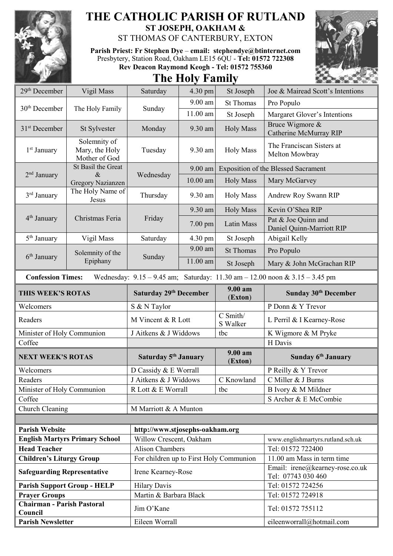

## **THE CATHOLIC PARISH OF RUTLAND ST JOSEPH, OAKHAM &**

ST THOMAS OF CANTERBURY, EXTON

**Parish Priest: Fr Stephen Dye** – **[email: stephendye@btinternet.com](mailto:email:%20%20stephendye@btinternet.com)** Presbytery, Station Road, Oakham LE15 6QU - **Tel: 01572 722308 Rev Deacon Raymond Keogh - Tel: 01572 755360**





| 29 <sup>th</sup> December                                                                                       | Vigil Mass                                      | Saturday                                                   | 4.30 pm    | St Joseph                                  | Joe & Mairead Scott's Intentions                      |  |
|-----------------------------------------------------------------------------------------------------------------|-------------------------------------------------|------------------------------------------------------------|------------|--------------------------------------------|-------------------------------------------------------|--|
| 30 <sup>th</sup> December                                                                                       | The Holy Family                                 | Sunday                                                     | $9.00$ am  | <b>St Thomas</b>                           | Pro Populo                                            |  |
|                                                                                                                 |                                                 |                                                            | 11.00 am   | St Joseph                                  | Margaret Glover's Intentions                          |  |
| 31 <sup>st</sup> December                                                                                       | St Sylvester                                    | Monday                                                     | 9.30 am    | <b>Holy Mass</b>                           | Bruce Wigmore &<br>Catherine McMurray RIP             |  |
| 1 <sup>st</sup> January                                                                                         | Solemnity of<br>Mary, the Holy<br>Mother of God | Tuesday                                                    | 9.30 am    | <b>Holy Mass</b>                           | The Franciscan Sisters at<br>Melton Mowbray           |  |
| $2nd$ January                                                                                                   | St Basil the Great<br>$\&$                      | Wednesday                                                  | $9.00$ am  | <b>Exposition of the Blessed Sacrament</b> |                                                       |  |
|                                                                                                                 | <b>Gregory Nazianzen</b>                        |                                                            | $10.00$ am | <b>Holy Mass</b>                           | Mary McGarvey                                         |  |
| 3 <sup>rd</sup> January                                                                                         | The Holy Name of<br>Jesus                       | Thursday                                                   | 9.30 am    | <b>Holy Mass</b>                           | Andrew Roy Swann RIP                                  |  |
|                                                                                                                 | Christmas Feria                                 | Friday                                                     | 9.30 am    | <b>Holy Mass</b>                           | Kevin O'Shea RIP                                      |  |
| 4 <sup>th</sup> January                                                                                         |                                                 |                                                            | $7.00$ pm  | Latin Mass                                 | Pat & Joe Quinn and<br>Daniel Quinn-Marriott RIP      |  |
| 5 <sup>th</sup> January                                                                                         | Vigil Mass                                      | Saturday                                                   | 4.30 pm    | St Joseph                                  | Abigail Kelly                                         |  |
|                                                                                                                 | Solemnity of the<br>Epiphany                    | Sunday                                                     | $9.00$ am  | <b>St Thomas</b>                           | Pro Populo                                            |  |
| $6th$ January                                                                                                   |                                                 |                                                            | 11.00 am   | St Joseph                                  | Mary & John McGrachan RIP                             |  |
| Wednesday: $9.15 - 9.45$ am; Saturday: $11.30$ am $- 12.00$ noon & $3.15 - 3.45$ pm<br><b>Confession Times:</b> |                                                 |                                                            |            |                                            |                                                       |  |
| THIS WEEK'S ROTAS                                                                                               |                                                 | Saturday 29 <sup>th</sup> December                         |            | $9.00 a$ m<br>(Exton)                      | Sunday 30 <sup>th</sup> December                      |  |
| Welcomers                                                                                                       |                                                 |                                                            |            |                                            |                                                       |  |
|                                                                                                                 |                                                 | S & N Taylor                                               |            |                                            | P Donn & Y Trevor                                     |  |
| Readers                                                                                                         |                                                 | M Vincent & R Lott                                         |            | C Smith/<br>S Walker                       | L Perril & I Kearney-Rose                             |  |
| Minister of Holy Communion                                                                                      |                                                 | J Aitkens & J Widdows                                      |            | tbc                                        | K Wigmore & M Pryke                                   |  |
| Coffee                                                                                                          |                                                 |                                                            |            |                                            | H Davis                                               |  |
| <b>NEXT WEEK'S ROTAS</b>                                                                                        |                                                 | Saturday 5 <sup>th</sup> January                           |            | 9.00 am<br>(Exton)                         | Sunday 6 <sup>th</sup> January                        |  |
| Welcomers                                                                                                       |                                                 | D Cassidy & E Worrall                                      |            |                                            | P Reilly & Y Trevor                                   |  |
| Readers                                                                                                         |                                                 | J Aitkens & J Widdows                                      |            | C Knowland                                 | C Miller & J Burns                                    |  |
| Minister of Holy Communion                                                                                      |                                                 | R Lott & E Worrall                                         |            | tbc                                        | B Ivory & M Mildner                                   |  |
| Coffee                                                                                                          |                                                 |                                                            |            |                                            | S Archer & E McCombie                                 |  |
| Church Cleaning                                                                                                 |                                                 | M Marriott & A Munton                                      |            |                                            |                                                       |  |
| <b>Parish Website</b>                                                                                           |                                                 |                                                            |            |                                            |                                                       |  |
|                                                                                                                 | <b>English Martyrs Primary School</b>           | http://www.stjosephs-oakham.org<br>Willow Crescent, Oakham |            |                                            | www.englishmartyrs.rutland.sch.uk                     |  |
| <b>Head Teacher</b>                                                                                             |                                                 | <b>Alison Chambers</b>                                     |            |                                            | Tel: 01572 722400                                     |  |
| <b>Children's Liturgy Group</b>                                                                                 |                                                 | For children up to First Holy Communion                    |            |                                            | 11.00 am Mass in term time                            |  |
| <b>Safeguarding Representative</b>                                                                              |                                                 | Irene Kearney-Rose                                         |            |                                            | Email: irene@kearney-rose.co.uk<br>Tel: 07743 030 460 |  |
|                                                                                                                 | <b>Parish Support Group - HELP</b>              | <b>Hilary Davis</b>                                        |            |                                            | Tel: 01572 724256                                     |  |
| <b>Prayer Groups</b>                                                                                            |                                                 | Martin & Barbara Black                                     |            |                                            | Tel: 01572 724918                                     |  |
| <b>Chairman - Parish Pastoral</b><br>Council                                                                    |                                                 | Jim O'Kane                                                 |            |                                            | Tel: 01572 755112                                     |  |